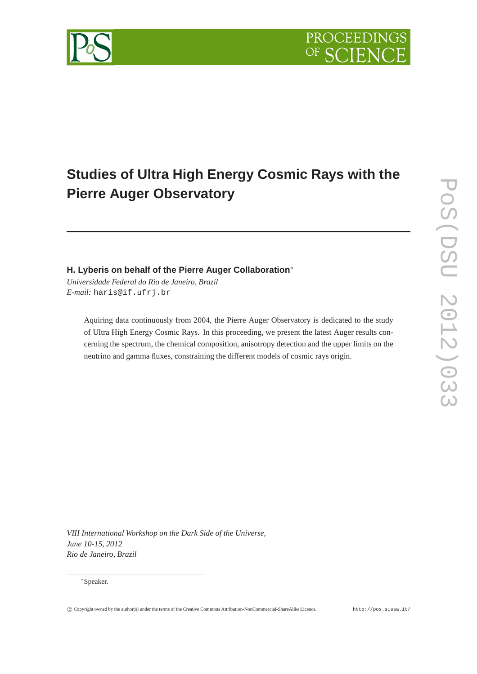

# **Studies of Ultra High Energy Cosmic Rays with the Pierre Auger Observatory**

# **H. Lyberis on behalf of the Pierre Auger Collaboration**<sup>∗</sup>

*Universidade Federal do Rio de Janeiro, Brazil E-mail:* haris@if.ufrj.br

> Aquiring data continuously from 2004, the Pierre Auger Observatory is dedicated to the study of Ultra High Energy Cosmic Rays. In this proceeding, we present the latest Auger results concerning the spectrum, the chemical composition, anisotropy detection and the upper limits on the neutrino and gamma fluxes, constraining the different models of cosmic rays origin.

*VIII International Workshop on the Dark Side of the Universe, June 10-15, 2012 Rio de Janeiro, Brazil*

#### <sup>∗</sup>Speaker.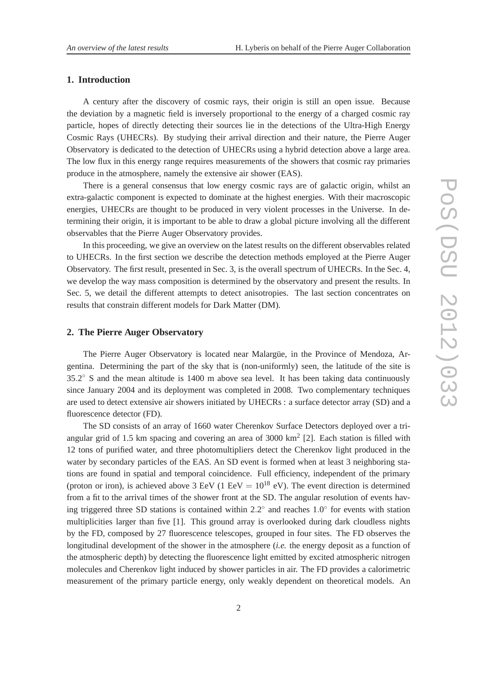## **1. Introduction**

A century after the discovery of cosmic rays, their origin is still an open issue. Because the deviation by a magnetic field is inversely proportional to the energy of a charged cosmic ray particle, hopes of directly detecting their sources lie in the detections of the Ultra-High Energy Cosmic Rays (UHECRs). By studying their arrival direction and their nature, the Pierre Auger Observatory is dedicated to the detection of UHECRs using a hybrid detection above a large area. The low flux in this energy range requires measurements of the showers that cosmic ray primaries produce in the atmosphere, namely the extensive air shower (EAS).

There is a general consensus that low energy cosmic rays are of galactic origin, whilst an extra-galactic component is expected to dominate at the highest energies. With their macroscopic energies, UHECRs are thought to be produced in very violent processes in the Universe. In determining their origin, it is important to be able to draw a global picture involving all the different observables that the Pierre Auger Observatory provides.

In this proceeding, we give an overview on the latest results on the different observables related to UHECRs. In the first section we describe the detection methods employed at the Pierre Auger Observatory. The first result, presented in Sec. 3, is the overall spectrum of UHECRs. In the Sec. 4, we develop the way mass composition is determined by the observatory and present the results. In Sec. 5, we detail the different attempts to detect anisotropies. The last section concentrates on results that constrain different models for Dark Matter (DM).

#### **2. The Pierre Auger Observatory**

The Pierre Auger Observatory is located near Malargüe, in the Province of Mendoza, Argentina. Determining the part of the sky that is (non-uniformly) seen, the latitude of the site is  $35.2^{\circ}$  S and the mean altitude is 1400 m above sea level. It has been taking data continuously since January 2004 and its deployment was completed in 2008. Two complementary techniques are used to detect extensive air showers initiated by UHECRs : a surface detector array (SD) and a fluorescence detector (FD).

The SD consists of an array of 1660 water Cherenkov Surface Detectors deployed over a triangular grid of 1.5 km spacing and covering an area of 3000  $km^2$  [2]. Each station is filled with 12 tons of purified water, and three photomultipliers detect the Cherenkov light produced in the water by secondary particles of the EAS. An SD event is formed when at least 3 neighboring stations are found in spatial and temporal coincidence. Full efficiency, independent of the primary (proton or iron), is achieved above 3 EeV (1 EeV =  $10^{18}$  eV). The event direction is determined from a fit to the arrival times of the shower front at the SD. The angular resolution of events having triggered three SD stations is contained within  $2.2^{\circ}$  and reaches  $1.0^{\circ}$  for events with station multiplicities larger than five [1]. This ground array is overlooked during dark cloudless nights by the FD, composed by 27 fluorescence telescopes, grouped in four sites. The FD observes the longitudinal development of the shower in the atmosphere (*i.e.* the energy deposit as a function of the atmospheric depth) by detecting the fluorescence light emitted by excited atmospheric nitrogen molecules and Cherenkov light induced by shower particles in air. The FD provides a calorimetric measurement of the primary particle energy, only weakly dependent on theoretical models. An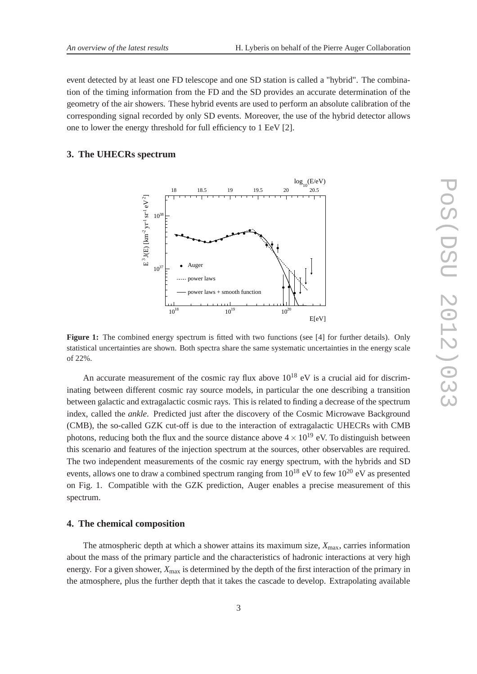event detected by at least one FD telescope and one SD station is called a "hybrid". The combination of the timing information from the FD and the SD provides an accurate determination of the geometry of the air showers. These hybrid events are used to perform an absolute calibration of the corresponding signal recorded by only SD events. Moreover, the use of the hybrid detector allows one to lower the energy threshold for full efficiency to 1 EeV [2].

### **3. The UHECRs spectrum**



Figure 1: The combined energy spectrum is fitted with two functions (see [4] for further details). Only statistical uncertainties are shown. Both spectra share the same systematic uncertainties in the energy scale of 22%.

An accurate measurement of the cosmic ray flux above  $10^{18}$  eV is a crucial aid for discriminating between different cosmic ray source models, in particular the one describing a transition between galactic and extragalactic cosmic rays. This is related to finding a decrease of the spectrum index, called the *ankle*. Predicted just after the discovery of the Cosmic Microwave Background (CMB), the so-called GZK cut-off is due to the interaction of extragalactic UHECRs with CMB photons, reducing both the flux and the source distance above  $4 \times 10^{19}$  eV. To distinguish between this scenario and features of the injection spectrum at the sources, other observables are required. The two independent measurements of the cosmic ray energy spectrum, with the hybrids and SD events, allows one to draw a combined spectrum ranging from  $10^{18}$  eV to few  $10^{20}$  eV as presented on Fig. 1. Compatible with the GZK prediction, Auger enables a precise measurement of this spectrum.

#### **4. The chemical composition**

The atmospheric depth at which a shower attains its maximum size,  $X_{\text{max}}$ , carries information about the mass of the primary particle and the characteristics of hadronic interactions at very high energy. For a given shower,  $X_{\text{max}}$  is determined by the depth of the first interaction of the primary in the atmosphere, plus the further depth that it takes the cascade to develop. Extrapolating available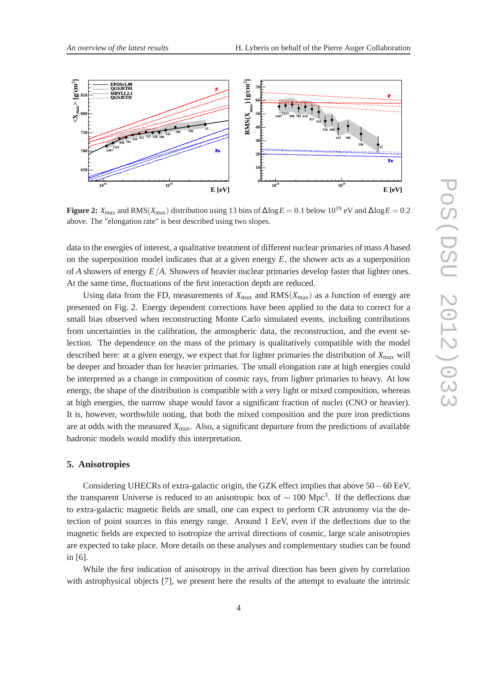

**Figure 2:**  $X_{\text{max}}$  and RMS( $X_{\text{max}}$ ) distribution using 13 bins of  $\Delta \log E = 0.1$  below 10<sup>19</sup> eV and  $\Delta \log E = 0.2$ above. The "elongation rate" is best described using two slopes.

data to the energies of interest, a qualitative treatment of different nuclear primaries of mass *A* based on the superposition model indicates that at a given energy *E*, the shower acts as a superposition of *A* showers of energy *E*/*A*. Showers of heavier nuclear primaries develop faster that lighter ones. At the same time, fluctuations of the first interaction depth are reduced.

Using data from the FD, measurements of  $X_{\text{max}}$  and  $\text{RMS}(X_{\text{max}})$  as a function of energy are presented on Fig. 2. Energy dependent corrections have been applied to the data to correct for a small bias observed when reconstructing Monte Carlo simulated events, including contributions from uncertainties in the calibration, the atmospheric data, the reconstruction, and the event selection. The dependence on the mass of the primary is qualitatively compatible with the model described here: at a given energy, we expect that for lighter primaries the distribution of  $X_{\text{max}}$  will be deeper and broader than for heavier primaries. The small elongation rate at high energies could be interpreted as a change in composition of cosmic rays, from lighter primaries to heavy. At low energy, the shape of the distribution is compatible with a very light or mixed composition, whereas at high energies, the narrow shape would favor a significant fraction of nuclei (CNO or heavier). It is, however, worthwhile noting, that both the mixed composition and the pure iron predictions are at odds with the measured *X*max. Also, a significant departure from the predictions of available hadronic models would modify this interpretation.

#### **5. Anisotropies**

Considering UHECRs of extra-galactic origin, the GZK effect implies that above 50−60 EeV, the transparent Universe is reduced to an anisotropic box of  $\sim 100 \text{ Mpc}^3$ . If the deflections due to extra-galactic magnetic fields are small, one can expect to perform CR astronomy via the detection of point sources in this energy range. Around 1 EeV, even if the deflections due to the magnetic fields are expected to isotropize the arrival directions of cosmic, large scale anisotropies are expected to take place. More details on these analyses and complementary studies can be found in [6].

While the first indication of anisotropy in the arrival direction has been given by correlation with astrophysical objects [7], we present here the results of the attempt to evaluate the intrinsic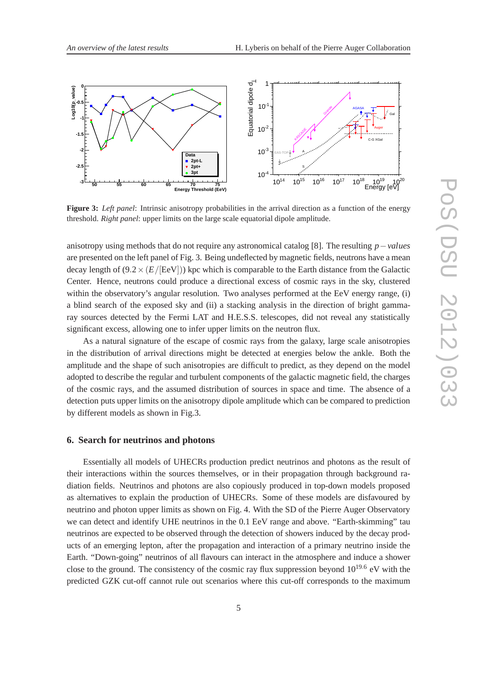

**Figure 3:** *Left panel*: Intrinsic anisotropy probabilities in the arrival direction as a function of the energy threshold. *Right panel*: upper limits on the large scale equatorial dipole amplitude.

anisotropy using methods that do not require any astronomical catalog [8]. The resulting *p*−*values* are presented on the left panel of Fig. 3. Being undeflected by magnetic fields, neutrons have a mean decay length of  $(9.2 \times (E/[\text{EeV}]))$  kpc which is comparable to the Earth distance from the Galactic Center. Hence, neutrons could produce a directional excess of cosmic rays in the sky, clustered within the observatory's angular resolution. Two analyses performed at the EeV energy range, (i) a blind search of the exposed sky and (ii) a stacking analysis in the direction of bright gammaray sources detected by the Fermi LAT and H.E.S.S. telescopes, did not reveal any statistically significant excess, allowing one to infer upper limits on the neutron flux.

As a natural signature of the escape of cosmic rays from the galaxy, large scale anisotropies in the distribution of arrival directions might be detected at energies below the ankle. Both the amplitude and the shape of such anisotropies are difficult to predict, as they depend on the model adopted to describe the regular and turbulent components of the galactic magnetic field, the charges of the cosmic rays, and the assumed distribution of sources in space and time. The absence of a detection puts upper limits on the anisotropy dipole amplitude which can be compared to prediction by different models as shown in Fig.3.

#### **6. Search for neutrinos and photons**

Essentially all models of UHECRs production predict neutrinos and photons as the result of their interactions within the sources themselves, or in their propagation through background radiation fields. Neutrinos and photons are also copiously produced in top-down models proposed as alternatives to explain the production of UHECRs. Some of these models are disfavoured by neutrino and photon upper limits as shown on Fig. 4. With the SD of the Pierre Auger Observatory we can detect and identify UHE neutrinos in the 0.1 EeV range and above. "Earth-skimming" tau neutrinos are expected to be observed through the detection of showers induced by the decay products of an emerging lepton, after the propagation and interaction of a primary neutrino inside the Earth. "Down-going" neutrinos of all flavours can interact in the atmosphere and induce a shower close to the ground. The consistency of the cosmic ray flux suppression beyond  $10^{19.6}$  eV with the predicted GZK cut-off cannot rule out scenarios where this cut-off corresponds to the maximum